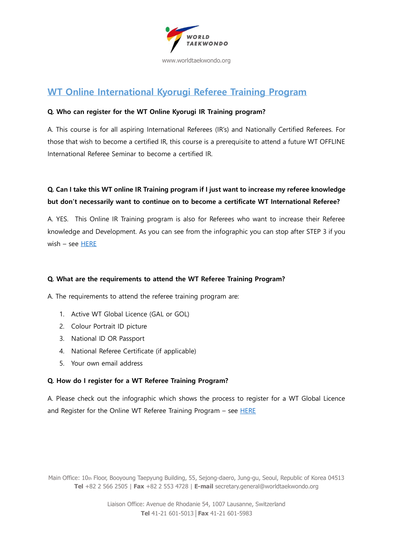

# **WT Online International Kyorugi Referee Training Program**

#### **Q. Who can register for the WT Online Kyorugi IR Training program?**

A. This course is for all aspiring International Referees (IR's) and Nationally Certified Referees. For those that wish to become a certified IR, this course is a prerequisite to attend a future WT OFFLINE International Referee Seminar to become a certified IR.

### **Q. Can I take this WT online IR Training program if I just want to increase my referee knowledge but don't necessarily want to continue on to become a certificate WT International Referee?**

A. YES. This Online IR Training program is also for Referees who want to increase their Referee knowledge and Development. As you can see from the infographic you can stop after STEP 3 if you wish – see [HERE](https://www.dropbox.com/s/zmm1jbst48tt17o/WT%20IR%20Refersher%20Course%20infographic.pdf?dl=0)

#### **Q. What are the requirements to attend the WT Referee Training Program?**

A. The requirements to attend the referee training program are:

- 1. Active WT Global Licence (GAL or GOL)
- 2. Colour Portrait ID picture
- 3. National ID OR Passport
- 4. National Referee Certificate (if applicable)
- 5. Your own email address

#### **Q. How do I register for a WT Referee Training Program?**

A. Please check out the infographic which shows the process to register for a WT Global Licence and Register for the Online WT Referee Training Program  $-$  see [HERE](https://www.dropbox.com/s/zmm1jbst48tt17o/WT%20IR%20Refersher%20Course%20infographic.pdf?dl=0)

Main Office: 10th Floor, Booyoung Taepyung Building, 55, Sejong-daero, Jung-gu, Seoul, Republic of Korea 04513 **Tel** +82 2 566 2505 | **Fax** +82 2 553 4728 | **E-mail** secretary.general@worldtaekwondo.org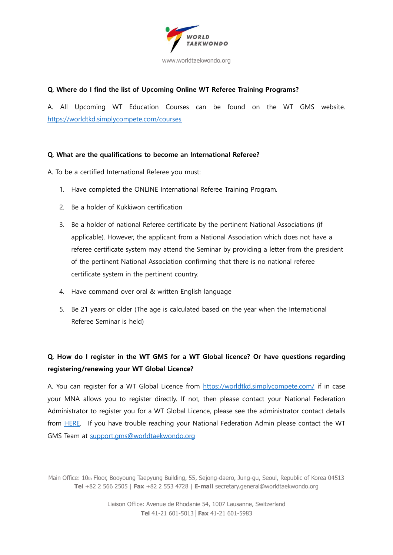

#### **Q. Where do I find the list of Upcoming Online WT Referee Training Programs?**

A. All Upcoming WT Education Courses can be found on the WT GMS website. <https://worldtkd.simplycompete.com/courses>

#### **Q. What are the qualifications to become an International Referee?**

A. To be a certified International Referee you must:

- 1. Have completed the ONLINE International Referee Training Program.
- 2. Be a holder of Kukkiwon certification
- 3. Be a holder of national Referee certificate by the pertinent National Associations (if applicable). However, the applicant from a National Association which does not have a referee certificate system may attend the Seminar by providing a letter from the president of the pertinent National Association confirming that there is no national referee certificate system in the pertinent country.
- 4. Have command over oral & written English language
- 5. Be 21 years or older (The age is calculated based on the year when the International Referee Seminar is held)

### **Q. How do I register in the WT GMS for a WT Global licence? Or have questions regarding registering/renewing your WT Global Licence?**

A. You can register for a WT Global Licence from<https://worldtkd.simplycompete.com/> if in case your MNA allows you to register directly. If not, then please contact your National Federation Administrator to register you for a WT Global Licence, please see the administrator contact details from [HERE.](https://worldtkd.simplycompete.com/s/11e6eef4-2284-ad29-92b4-12f817a4f090?pageId=11e9ffab-1cef-d18f-8976-06a8421dab64) If you have trouble reaching your National Federation Admin please contact the WT GMS Team at [support.gms@worldtaekwondo.org](mailto:support.gms@worldtaekwondo.org)

Main Office: 10th Floor, Booyoung Taepyung Building, 55, Sejong-daero, Jung-gu, Seoul, Republic of Korea 04513 **Tel** +82 2 566 2505 | **Fax** +82 2 553 4728 | **E-mail** secretary.general@worldtaekwondo.org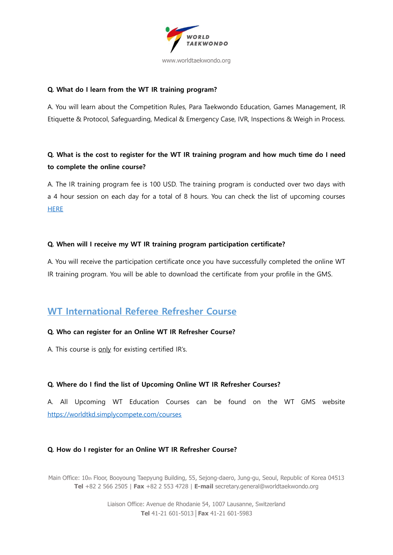

#### **Q. What do I learn from the WT IR training program?**

A. You will learn about the Competition Rules, Para Taekwondo Education, Games Management, IR Etiquette & Protocol, Safeguarding, Medical & Emergency Case, IVR, Inspections & Weigh in Process.

### **Q. What is the cost to register for the WT IR training program and how much time do I need to complete the online course?**

A. The IR training program fee is 100 USD. The training program is conducted over two days with a 4 hour session on each day for a total of 8 hours. You can check the list of upcoming courses **[HERE](https://worldtkd.simplycompete.com/courses)** 

#### **Q. When will I receive my WT IR training program participation certificate?**

A. You will receive the participation certificate once you have successfully completed the online WT IR training program. You will be able to download the certificate from your profile in the GMS.

## **WT International Referee Refresher Course**

#### **Q. Who can register for an Online WT IR Refresher Course?**

A. This course is only for existing certified IR's.

#### **Q. Where do I find the list of Upcoming Online WT IR Refresher Courses?**

A. All Upcoming WT Education Courses can be found on the WT GMS website <https://worldtkd.simplycompete.com/courses>

#### **Q. How do I register for an Online WT IR Refresher Course?**

Main Office: 10th Floor, Booyoung Taepyung Building, 55, Sejong-daero, Jung-gu, Seoul, Republic of Korea 04513 **Tel** +82 2 566 2505 | **Fax** +82 2 553 4728 | **E-mail** secretary.general@worldtaekwondo.org